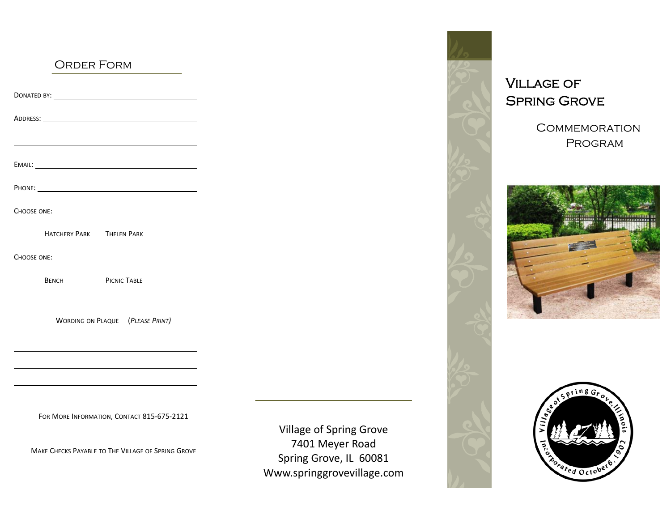### ORDER FORM

ADDRESS: EMAIL:

PHONE:

DONATED BY:

CHOOSE ONE:

HATCHERY PARKTHELEN PARK

CHOOSE ONE:

BENCH

PICNIC TABLE

WORDING ON PLAQUE (*PLEASE PRINT)*

FOR MORE INFORMATION, CONTACT 815‐675‐2121

MAKE CHECKS PAYABLE TO THE VILLAGE OF SPRING GROVE

Village of Spring Grove 7401 Meyer Road Spring Grove, IL 60081 Www.springgrovevillage.com



Village of Spring Grove

**COMMEMORATION** Program